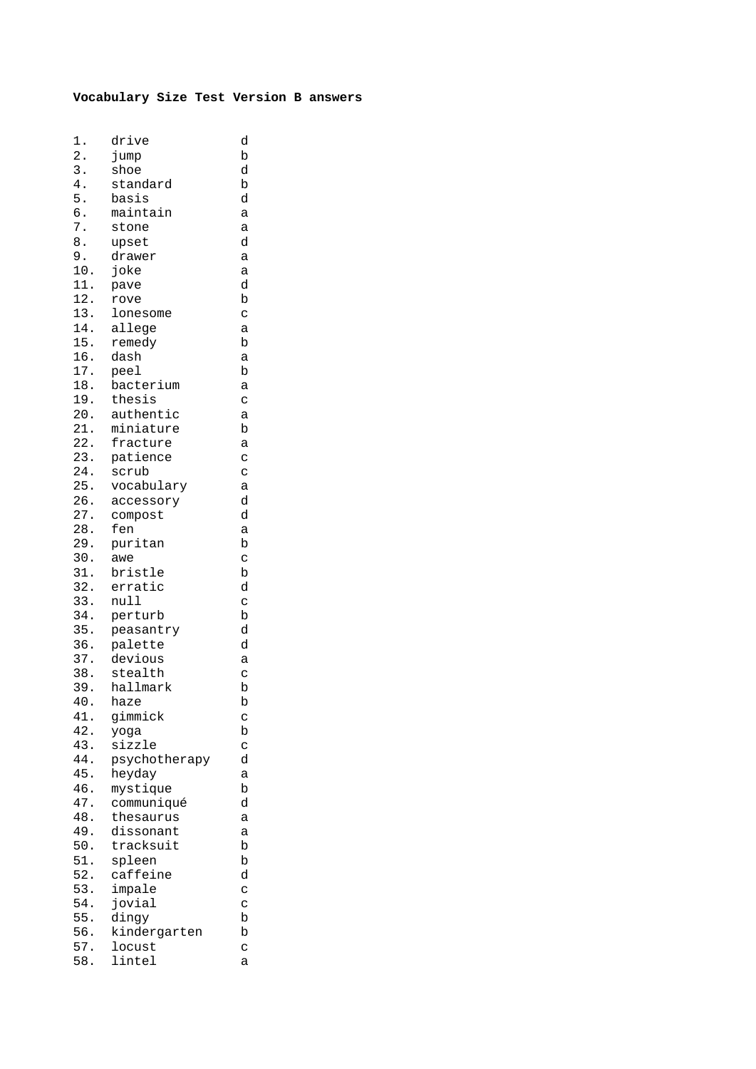## **Vocabulary Size Test Version B answers**

| 1.               | drive         | d            |
|------------------|---------------|--------------|
| $\overline{2}$ . | jump          | $\mathbf b$  |
| 3.               | shoe          | d            |
| 4.               | standard      | b            |
| 5.               | basis         | d            |
| б.               | maintain      | a            |
| 7.               | stone         | a            |
| 8.               | upset         | d            |
| 9.               | drawer        | a            |
| 10.              | joke          | a            |
| 11.              | pave          | d            |
| 12.              | rove          | b            |
| 13.              | lonesome      | $\mathbf{C}$ |
| 14.              | allege        | a            |
| 15.              | remedy        | b            |
| 16.              | dash          | a            |
| 17.              | peel          | b            |
| 18.              | bacterium     | a            |
| 19.              | thesis        | C            |
| 20.              | authentic     | a            |
| 21.              | miniature     | b            |
| 22.              | fracture      | a            |
| 23.              | patience      | $\mathbf{C}$ |
| 24.              | scrub         | $\mathbf{C}$ |
| 25.              | vocabulary    | a            |
| 26.              | accessory     | d            |
| 27.              | compost       | d            |
| 28.              | fen           | a            |
| 29.              | puritan       | $\mathbf b$  |
| 30.              | awe           | $\mathbf C$  |
| 31.              | bristle       | b            |
| 32.              | erratic       | d            |
| 33.              | null          | C            |
| 34.              | perturb       | b            |
| 35.              | peasantry     | d            |
| 36.              | palette       | d            |
| 37.              | devious       | a            |
| 38.              | stealth       | $\mathbf{C}$ |
| 39.              | hallmark      | b            |
| 40               | haze          | b            |
| 41.              | gimmick       | C            |
| 42.              | yoga          | b            |
| 43.              | sizzle        | C            |
| 44.              | psychotherapy | d            |
| 45.              | heyday        | a            |
| 46.              | mystique      | b            |
| 47.              | communiqué    | d            |
| 48.              | thesaurus     | a            |
| 49.              | dissonant     | a            |
| 50.              | tracksuit     | b            |
| 51.              | spleen        | b            |
| 52.              | caffeine      | d            |
| 53.              | impale        | C            |
| 54.              | jovial        | C            |
| 55.              | dingy         | b            |
| 56.              | kindergarten  | b            |
| 57.              | locust        | C            |
| 58.              | lintel        | а            |